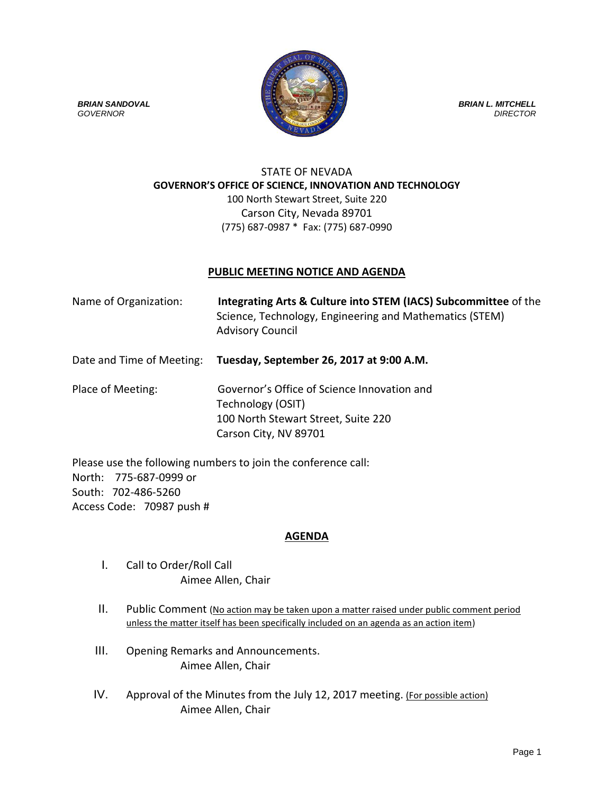

## STATE OF NEVADA **GOVERNOR'S OFFICE OF SCIENCE, INNOVATION AND TECHNOLOGY** 100 North Stewart Street, Suite 220 Carson City, Nevada 89701 (775) 687-0987 \* Fax: (775) 687-0990

## **PUBLIC MEETING NOTICE AND AGENDA**

| Name of Organization:     | Integrating Arts & Culture into STEM (IACS) Subcommittee of the<br>Science, Technology, Engineering and Mathematics (STEM)<br><b>Advisory Council</b> |
|---------------------------|-------------------------------------------------------------------------------------------------------------------------------------------------------|
| Date and Time of Meeting: | Tuesday, September 26, 2017 at 9:00 A.M.                                                                                                              |
| Place of Meeting:         | Governor's Office of Science Innovation and<br>Technology (OSIT)<br>100 North Stewart Street, Suite 220                                               |

Carson City, NV 89701

Please use the following numbers to join the conference call: North: 775-687-0999 or South: 702-486-5260 Access Code: 70987 push #

## **AGENDA**

- I. Call to Order/Roll Call Aimee Allen, Chair
- II. Public Comment (No action may be taken upon a matter raised under public comment period unless the matter itself has been specifically included on an agenda as an action item)
- III. Opening Remarks and Announcements. Aimee Allen, Chair
- IV. Approval of the Minutes from the July 12, 2017 meeting. (For possible action) Aimee Allen, Chair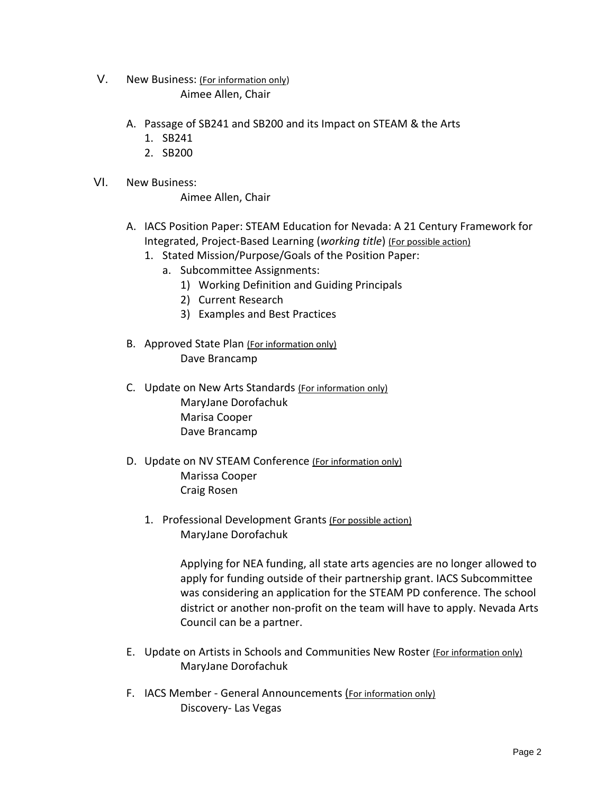V. New Business: (For information only)

Aimee Allen, Chair

- A. Passage of SB241 and SB200 and its Impact on STEAM & the Arts
	- 1. SB241
	- 2. SB200
- VI. New Business:

Aimee Allen, Chair

- A. IACS Position Paper: STEAM Education for Nevada: A 21 Century Framework for Integrated, Project-Based Learning (*working title*) (For possible action)
	- 1. Stated Mission/Purpose/Goals of the Position Paper:
		- a. Subcommittee Assignments:
			- 1) Working Definition and Guiding Principals
			- 2) Current Research
			- 3) Examples and Best Practices
- B. Approved State Plan (For information only) Dave Brancamp
- C. Update on New Arts Standards (For information only) MaryJane Dorofachuk Marisa Cooper Dave Brancamp
- D. Update on NV STEAM Conference (For information only) Marissa Cooper Craig Rosen
	- 1. Professional Development Grants (For possible action) MaryJane Dorofachuk

Applying for NEA funding, all state arts agencies are no longer allowed to apply for funding outside of their partnership grant. IACS Subcommittee was considering an application for the STEAM PD conference. The school district or another non-profit on the team will have to apply. Nevada Arts Council can be a partner.

- E. Update on Artists in Schools and Communities New Roster (For information only) MaryJane Dorofachuk
- F. IACS Member General Announcements (For information only) Discovery- Las Vegas